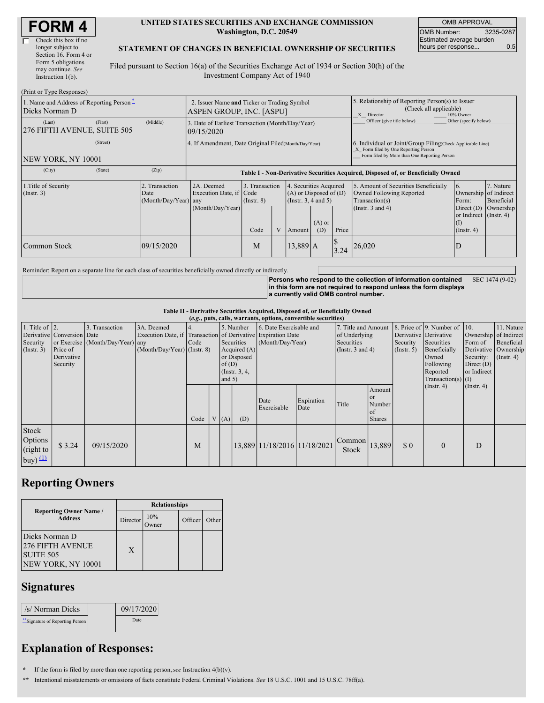| <b>FORM4</b> |
|--------------|
|--------------|

| Check this box if no  |
|-----------------------|
| longer subject to     |
| Section 16. Form 4 or |
| Form 5 obligations    |
| may continue. See     |
| Instruction $1(b)$ .  |
|                       |

 $(D_{\text{wint on}}$  Type  $D$ 

#### **UNITED STATES SECURITIES AND EXCHANGE COMMISSION Washington, D.C. 20549**

OMB APPROVAL OMB Number: 3235-0287 Estimated average burden hours per response... **0.5** 

#### **STATEMENT OF CHANGES IN BENEFICIAL OWNERSHIP OF SECURITIES**

Filed pursuant to Section 16(a) of the Securities Exchange Act of 1934 or Section 30(h) of the Investment Company Act of 1940

| (FILLE OF TYPE RESPOSS)                                    |          |                                                |                                                                                  |                                   |  |                                                                                  |                            |                                                                                                                                                    |                                                                                    |                                                                           |                         |
|------------------------------------------------------------|----------|------------------------------------------------|----------------------------------------------------------------------------------|-----------------------------------|--|----------------------------------------------------------------------------------|----------------------------|----------------------------------------------------------------------------------------------------------------------------------------------------|------------------------------------------------------------------------------------|---------------------------------------------------------------------------|-------------------------|
| 1. Name and Address of Reporting Person-<br>Dicks Norman D |          |                                                | 2. Issuer Name and Ticker or Trading Symbol<br>ASPEN GROUP, INC. [ASPU]          |                                   |  |                                                                                  |                            | 5. Relationship of Reporting Person(s) to Issuer<br>(Check all applicable)<br>X Director<br>10% Owner                                              |                                                                                    |                                                                           |                         |
| (Last)<br>276 FIFTH AVENUE, SUITE 505                      | (First)  | (Middle)                                       | 3. Date of Earliest Transaction (Month/Day/Year)<br>09/15/2020                   |                                   |  |                                                                                  | Officer (give title below) | Other (specify below)                                                                                                                              |                                                                                    |                                                                           |                         |
| NEW YORK, NY 10001                                         | (Street) |                                                | 4. If Amendment, Date Original Filed(Month/Day/Year)                             |                                   |  |                                                                                  |                            | 6. Individual or Joint/Group Filing Check Applicable Line)<br>X Form filed by One Reporting Person<br>Form filed by More than One Reporting Person |                                                                                    |                                                                           |                         |
| (City)                                                     | (State)  | (Zip)                                          | Table I - Non-Derivative Securities Acquired, Disposed of, or Beneficially Owned |                                   |  |                                                                                  |                            |                                                                                                                                                    |                                                                                    |                                                                           |                         |
| 1. Title of Security<br>(Insert. 3)                        |          | 2. Transaction<br>Date<br>(Month/Day/Year) any | 2A. Deemed<br>Execution Date, if Code                                            | 3. Transaction<br>$($ Instr. $8)$ |  | 4. Securities Acquired<br>$(A)$ or Disposed of $(D)$<br>(Instr. $3, 4$ and $5$ ) |                            |                                                                                                                                                    | 5. Amount of Securities Beneficially<br>Owned Following Reported<br>Transaction(s) | 16.<br>Ownership of Indirect<br>Form:                                     | 7. Nature<br>Beneficial |
|                                                            |          |                                                | (Month/Day/Year)                                                                 | Code                              |  | Amount                                                                           | $(A)$ or<br>(D)            | Price                                                                                                                                              | (Instr. $3$ and $4$ )                                                              | Direct (D) Ownership<br>or Indirect (Instr. 4)<br>(1)<br>$($ Instr. 4 $)$ |                         |
| Common Stock                                               |          | 09/15/2020                                     |                                                                                  | M                                 |  | 13,889 A                                                                         |                            | 3.24                                                                                                                                               | 26,020                                                                             | ID                                                                        |                         |

Reminder: Report on a separate line for each class of securities beneficially owned directly or indirectly.

**Persons who respond to the collection of information contained in this form are not required to respond unless the form displays a currently valid OMB control number.** SEC 1474 (9-02)

**Table II - Derivative Securities Acquired, Disposed of, or Beneficially Owned**

**(***e.g.***, puts, calls, warrants, options, convertible securities)** 1. Title of Derivative Security (Instr. 3) 2. Conversion or Exercise Price of **Derivative** Security 3. Transaction Date (Month/Day/Year) 3A. Deemed Execution Date, if any (Month/Day/Year) 4. Transaction Code (Instr. 8) 5. Number of Derivative Securities Acquired (A) or Disposed  $of$  $(D)$ (Instr. 3, 4, and 5) 6. Date Exercisable and Expiration Date (Month/Day/Year) 7. Title and Amount of Underlying **Securities** (Instr. 3 and 4) 8. Price of Derivative Security  $(Insert. 5)$ 9. Number of Derivative Securities Beneficially Owned Following Reported Transaction(s) (Instr. 4) 10. Ownership Form of Derivative Security: Direct (D) or Indirect (I) (Instr. 4) 11. Nature of Indirect Beneficial Ownership  $(Insert, 4)$ Code  $V(A)$  (D) Date Exercisable Expiration Expiration Title Amount or Number of Shares Stock Options (right to buy)  $\overline{\mathfrak{u}}$ \$ 3.24 09/15/2020 M M 1 13,889 11/18/2016 11/18/2021 Common Stock  $13,889$  \$ 0 0 D

## **Reporting Owners**

|                                                                              | <b>Relationships</b> |              |         |       |  |  |
|------------------------------------------------------------------------------|----------------------|--------------|---------|-------|--|--|
| <b>Reporting Owner Name /</b><br><b>Address</b>                              | Director             | 10%<br>)wner | Officer | Other |  |  |
| Dicks Norman D<br><b>276 FIFTH AVENUE</b><br>SUITE 505<br>NEW YORK, NY 10001 | X                    |              |         |       |  |  |

### **Signatures**

| /s/ Norman Dicks              | 09/17/2020 |
|-------------------------------|------------|
| Signature of Reporting Person | Date       |

# **Explanation of Responses:**

**\*** If the form is filed by more than one reporting person,*see* Instruction 4(b)(v).

**\*\*** Intentional misstatements or omissions of facts constitute Federal Criminal Violations. *See* 18 U.S.C. 1001 and 15 U.S.C. 78ff(a).